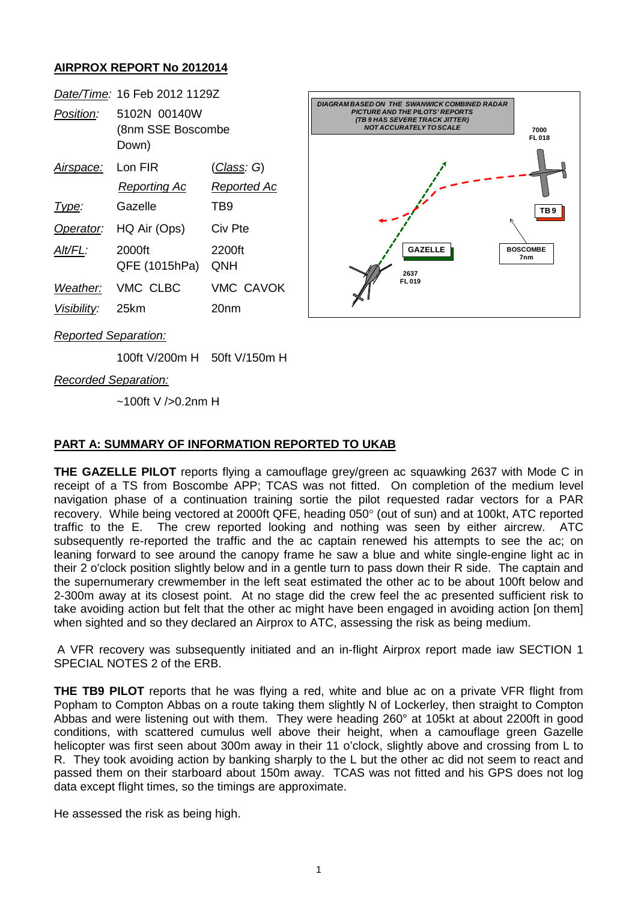## **AIRPROX REPORT No 2012014**



*Reported Separation:*

100ft V/200m H 50ft V/150m H

*Recorded Separation:*

 $~100$ ft V />0.2nm H

## **PART A: SUMMARY OF INFORMATION REPORTED TO UKAB**

**THE GAZELLE PILOT** reports flying a camouflage grey/green ac squawking 2637 with Mode C in receipt of a TS from Boscombe APP; TCAS was not fitted. On completion of the medium level navigation phase of a continuation training sortie the pilot requested radar vectors for a PAR recovery. While being vectored at 2000ft QFE, heading 050° (out of sun) and at 100kt, ATC reported traffic to the E. The crew reported looking and nothing was seen by either aircrew. ATC subsequently re-reported the traffic and the ac captain renewed his attempts to see the ac; on leaning forward to see around the canopy frame he saw a blue and white single-engine light ac in their 2 o'clock position slightly below and in a gentle turn to pass down their R side. The captain and the supernumerary crewmember in the left seat estimated the other ac to be about 100ft below and 2-300m away at its closest point. At no stage did the crew feel the ac presented sufficient risk to take avoiding action but felt that the other ac might have been engaged in avoiding action [on them] when sighted and so they declared an Airprox to ATC, assessing the risk as being medium.

A VFR recovery was subsequently initiated and an in-flight Airprox report made iaw SECTION 1 SPECIAL NOTES 2 of the ERB.

**THE TB9 PILOT** reports that he was flying a red, white and blue ac on a private VFR flight from Popham to Compton Abbas on a route taking them slightly N of Lockerley, then straight to Compton Abbas and were listening out with them. They were heading 260° at 105kt at about 2200ft in good conditions, with scattered cumulus well above their height, when a camouflage green Gazelle helicopter was first seen about 300m away in their 11 o'clock, slightly above and crossing from L to R. They took avoiding action by banking sharply to the L but the other ac did not seem to react and passed them on their starboard about 150m away. TCAS was not fitted and his GPS does not log data except flight times, so the timings are approximate.

He assessed the risk as being high.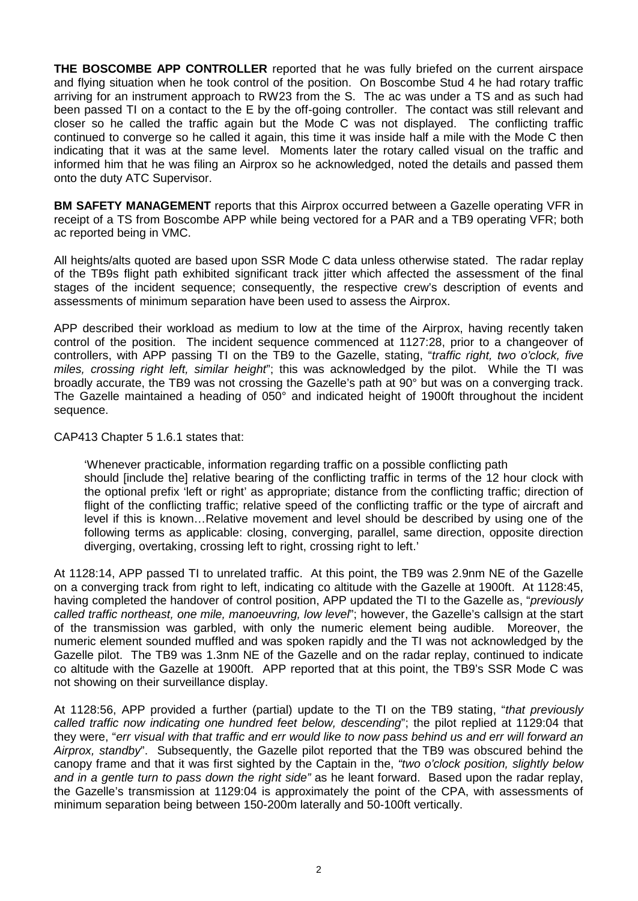**THE BOSCOMBE APP CONTROLLER** reported that he was fully briefed on the current airspace and flying situation when he took control of the position. On Boscombe Stud 4 he had rotary traffic arriving for an instrument approach to RW23 from the S. The ac was under a TS and as such had been passed TI on a contact to the E by the off-going controller. The contact was still relevant and closer so he called the traffic again but the Mode C was not displayed. The conflicting traffic continued to converge so he called it again, this time it was inside half a mile with the Mode C then indicating that it was at the same level. Moments later the rotary called visual on the traffic and informed him that he was filing an Airprox so he acknowledged, noted the details and passed them onto the duty ATC Supervisor.

**BM SAFETY MANAGEMENT** reports that this Airprox occurred between a Gazelle operating VFR in receipt of a TS from Boscombe APP while being vectored for a PAR and a TB9 operating VFR; both ac reported being in VMC.

All heights/alts quoted are based upon SSR Mode C data unless otherwise stated. The radar replay of the TB9s flight path exhibited significant track jitter which affected the assessment of the final stages of the incident sequence; consequently, the respective crew's description of events and assessments of minimum separation have been used to assess the Airprox.

APP described their workload as medium to low at the time of the Airprox, having recently taken control of the position. The incident sequence commenced at 1127:28, prior to a changeover of controllers, with APP passing TI on the TB9 to the Gazelle, stating, "*traffic right, two o'clock, five miles, crossing right left, similar height*"; this was acknowledged by the pilot. While the TI was broadly accurate, the TB9 was not crossing the Gazelle's path at 90° but was on a converging track. The Gazelle maintained a heading of 050° and indicated height of 1900ft throughout the incident sequence.

CAP413 Chapter 5 1.6.1 states that:

'Whenever practicable, information regarding traffic on a possible conflicting path should [include the] relative bearing of the conflicting traffic in terms of the 12 hour clock with the optional prefix 'left or right' as appropriate; distance from the conflicting traffic; direction of flight of the conflicting traffic; relative speed of the conflicting traffic or the type of aircraft and level if this is known…Relative movement and level should be described by using one of the following terms as applicable: closing, converging, parallel, same direction, opposite direction diverging, overtaking, crossing left to right, crossing right to left.'

At 1128:14, APP passed TI to unrelated traffic. At this point, the TB9 was 2.9nm NE of the Gazelle on a converging track from right to left, indicating co altitude with the Gazelle at 1900ft. At 1128:45, having completed the handover of control position, APP updated the TI to the Gazelle as, "*previously called traffic northeast, one mile, manoeuvring, low level*"; however, the Gazelle's callsign at the start of the transmission was garbled, with only the numeric element being audible. Moreover, the numeric element sounded muffled and was spoken rapidly and the TI was not acknowledged by the Gazelle pilot. The TB9 was 1.3nm NE of the Gazelle and on the radar replay, continued to indicate co altitude with the Gazelle at 1900ft. APP reported that at this point, the TB9's SSR Mode C was not showing on their surveillance display.

At 1128:56, APP provided a further (partial) update to the TI on the TB9 stating, "*that previously called traffic now indicating one hundred feet below, descending*"; the pilot replied at 1129:04 that they were, "*err visual with that traffic and err would like to now pass behind us and err will forward an Airprox, standby*". Subsequently, the Gazelle pilot reported that the TB9 was obscured behind the canopy frame and that it was first sighted by the Captain in the, *"two o'clock position, slightly below and in a gentle turn to pass down the right side"* as he leant forward. Based upon the radar replay, the Gazelle's transmission at 1129:04 is approximately the point of the CPA, with assessments of minimum separation being between 150-200m laterally and 50-100ft vertically.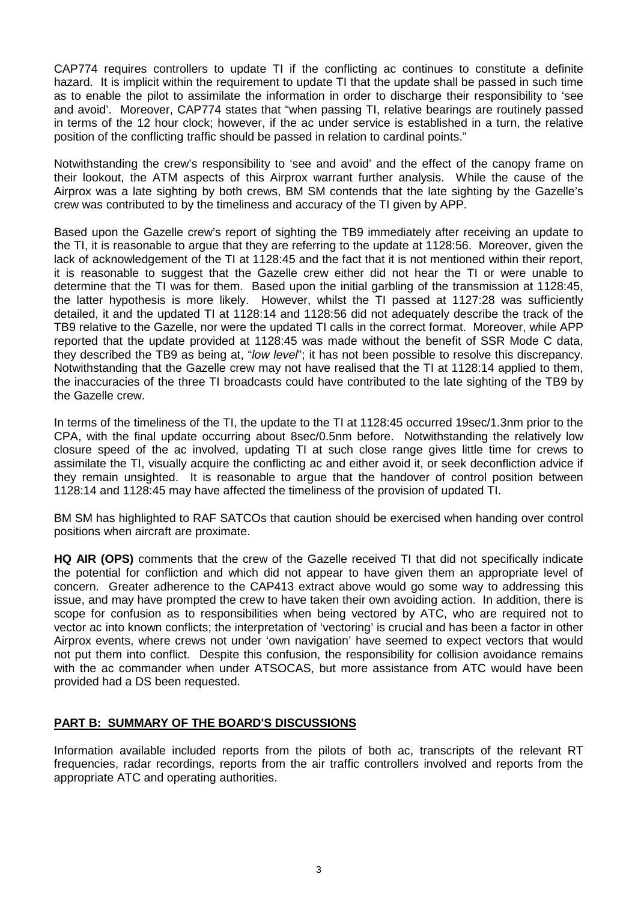CAP774 requires controllers to update TI if the conflicting ac continues to constitute a definite hazard. It is implicit within the requirement to update TI that the update shall be passed in such time as to enable the pilot to assimilate the information in order to discharge their responsibility to 'see and avoid'. Moreover, CAP774 states that "when passing TI, relative bearings are routinely passed in terms of the 12 hour clock; however, if the ac under service is established in a turn, the relative position of the conflicting traffic should be passed in relation to cardinal points."

Notwithstanding the crew's responsibility to 'see and avoid' and the effect of the canopy frame on their lookout, the ATM aspects of this Airprox warrant further analysis. While the cause of the Airprox was a late sighting by both crews, BM SM contends that the late sighting by the Gazelle's crew was contributed to by the timeliness and accuracy of the TI given by APP.

Based upon the Gazelle crew's report of sighting the TB9 immediately after receiving an update to the TI, it is reasonable to argue that they are referring to the update at 1128:56. Moreover, given the lack of acknowledgement of the TI at 1128:45 and the fact that it is not mentioned within their report, it is reasonable to suggest that the Gazelle crew either did not hear the TI or were unable to determine that the TI was for them. Based upon the initial garbling of the transmission at 1128:45, the latter hypothesis is more likely. However, whilst the TI passed at 1127:28 was sufficiently detailed, it and the updated TI at 1128:14 and 1128:56 did not adequately describe the track of the TB9 relative to the Gazelle, nor were the updated TI calls in the correct format. Moreover, while APP reported that the update provided at 1128:45 was made without the benefit of SSR Mode C data, they described the TB9 as being at, "*low level*"; it has not been possible to resolve this discrepancy. Notwithstanding that the Gazelle crew may not have realised that the TI at 1128:14 applied to them, the inaccuracies of the three TI broadcasts could have contributed to the late sighting of the TB9 by the Gazelle crew.

In terms of the timeliness of the TI, the update to the TI at 1128:45 occurred 19sec/1.3nm prior to the CPA, with the final update occurring about 8sec/0.5nm before. Notwithstanding the relatively low closure speed of the ac involved, updating TI at such close range gives little time for crews to assimilate the TI, visually acquire the conflicting ac and either avoid it, or seek deconfliction advice if they remain unsighted. It is reasonable to argue that the handover of control position between 1128:14 and 1128:45 may have affected the timeliness of the provision of updated TI.

BM SM has highlighted to RAF SATCOs that caution should be exercised when handing over control positions when aircraft are proximate.

**HQ AIR (OPS)** comments that the crew of the Gazelle received TI that did not specifically indicate the potential for confliction and which did not appear to have given them an appropriate level of concern. Greater adherence to the CAP413 extract above would go some way to addressing this issue, and may have prompted the crew to have taken their own avoiding action. In addition, there is scope for confusion as to responsibilities when being vectored by ATC, who are required not to vector ac into known conflicts; the interpretation of 'vectoring' is crucial and has been a factor in other Airprox events, where crews not under 'own navigation' have seemed to expect vectors that would not put them into conflict. Despite this confusion, the responsibility for collision avoidance remains with the ac commander when under ATSOCAS, but more assistance from ATC would have been provided had a DS been requested.

## **PART B: SUMMARY OF THE BOARD'S DISCUSSIONS**

Information available included reports from the pilots of both ac, transcripts of the relevant RT frequencies, radar recordings, reports from the air traffic controllers involved and reports from the appropriate ATC and operating authorities.